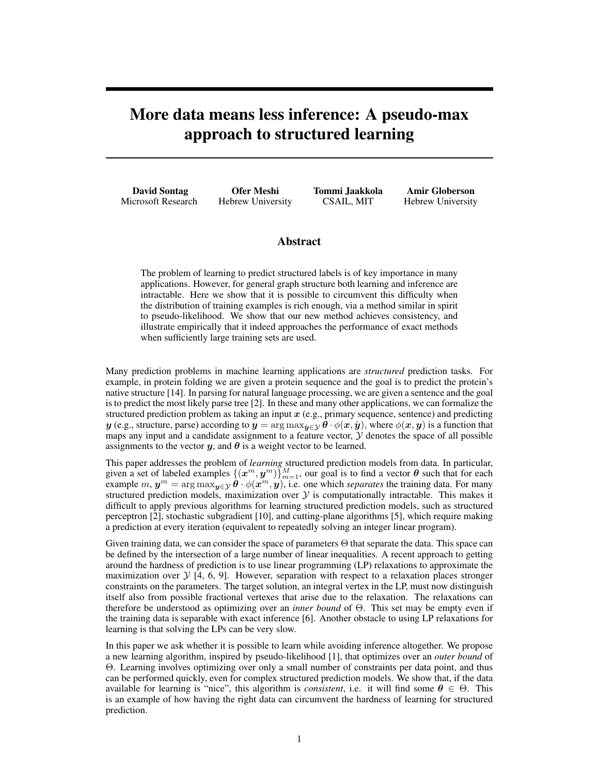# More data means less inference: A pseudo-max approach to structured learning

David Sontag Microsoft Research

Ofer Meshi Hebrew University Tommi Jaakkola CSAIL, MIT

Amir Globerson Hebrew University

## Abstract

The problem of learning to predict structured labels is of key importance in many applications. However, for general graph structure both learning and inference are intractable. Here we show that it is possible to circumvent this difficulty when the distribution of training examples is rich enough, via a method similar in spirit to pseudo-likelihood. We show that our new method achieves consistency, and illustrate empirically that it indeed approaches the performance of exact methods when sufficiently large training sets are used.

Many prediction problems in machine learning applications are *structured* prediction tasks. For example, in protein folding we are given a protein sequence and the goal is to predict the protein's native structure [14]. In parsing for natural language processing, we are given a sentence and the goal is to predict the most likely parse tree [2]. In these and many other applications, we can formalize the structured prediction problem as taking an input  $x$  (e.g., primary sequence, sentence) and predicting y (e.g., structure, parse) according to  $y = \arg \max_{\hat{y} \in \mathcal{Y}} \theta \cdot \phi(x, \hat{y})$ , where  $\phi(x, y)$  is a function that maps any input and a candidate assignment to a feature vector,  $\mathcal Y$  denotes the space of all possible assignments to the vector  $y$ , and  $\theta$  is a weight vector to be learned.

This paper addresses the problem of *learning* structured prediction models from data. In particular, given a set of labeled examples  $\{(x^m, y^m)\}_{m=1}^M$ , our goal is to find a vector  $\theta$  such that for each example  $m, y^m = \arg \max_{y \in \mathcal{Y}} \hat{\theta} \cdot \phi(x^m, y)$ , i.e. one which *separates* the training data. For many structured prediction models, maximization over  $\mathcal Y$  is computationally intractable. This makes it difficult to apply previous algorithms for learning structured prediction models, such as structured perceptron [2], stochastic subgradient [10], and cutting-plane algorithms [5], which require making a prediction at every iteration (equivalent to repeatedly solving an integer linear program).

Given training data, we can consider the space of parameters  $\Theta$  that separate the data. This space can be defined by the intersection of a large number of linear inequalities. A recent approach to getting around the hardness of prediction is to use linear programming (LP) relaxations to approximate the maximization over  $\mathcal{Y}$  [4, 6, 9]. However, separation with respect to a relaxation places stronger constraints on the parameters. The target solution, an integral vertex in the LP, must now distinguish itself also from possible fractional vertexes that arise due to the relaxation. The relaxations can therefore be understood as optimizing over an *inner bound* of Θ. This set may be empty even if the training data is separable with exact inference [6]. Another obstacle to using LP relaxations for learning is that solving the LPs can be very slow.

In this paper we ask whether it is possible to learn while avoiding inference altogether. We propose a new learning algorithm, inspired by pseudo-likelihood [1], that optimizes over an *outer bound* of Θ. Learning involves optimizing over only a small number of constraints per data point, and thus can be performed quickly, even for complex structured prediction models. We show that, if the data available for learning is "nice", this algorithm is *consistent*, i.e. it will find some  $\theta \in \Theta$ . This is an example of how having the right data can circumvent the hardness of learning for structured prediction.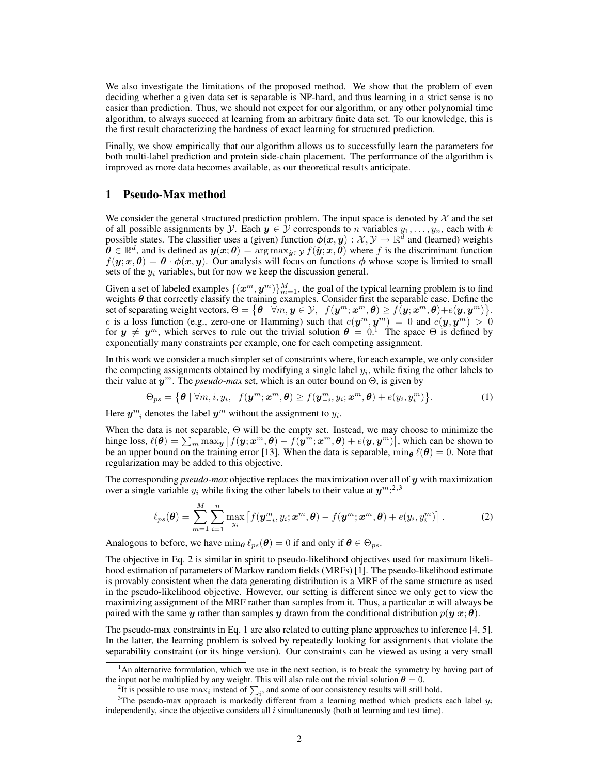We also investigate the limitations of the proposed method. We show that the problem of even deciding whether a given data set is separable is NP-hard, and thus learning in a strict sense is no easier than prediction. Thus, we should not expect for our algorithm, or any other polynomial time algorithm, to always succeed at learning from an arbitrary finite data set. To our knowledge, this is the first result characterizing the hardness of exact learning for structured prediction.

Finally, we show empirically that our algorithm allows us to successfully learn the parameters for both multi-label prediction and protein side-chain placement. The performance of the algorithm is improved as more data becomes available, as our theoretical results anticipate.

### 1 Pseudo-Max method

We consider the general structured prediction problem. The input space is denoted by  $\mathcal X$  and the set of all possible assignments by Y. Each  $y \in Y$  corresponds to n variables  $y_1, \ldots, y_n$ , each with k possible states. The classifier uses a (given) function  $\phi(x, y) : \mathcal{X}, \mathcal{Y} \to \mathbb{R}^d$  and (learned) weights  $\hat{\boldsymbol{\theta}} \in \mathbb{R}^d$ , and is defined as  $y(x; \theta) = \arg \max_{\hat{y} \in \mathcal{Y}} f(\hat{y}; x, \theta)$  where f is the discriminant function  $f(y; x, \theta) = \theta \cdot \phi(x, y)$ . Our analysis will focus on functions  $\phi$  whose scope is limited to small sets of the  $y_i$  variables, but for now we keep the discussion general.

Given a set of labeled examples  $\{(x^m,y^m)\}_{m=1}^M,$  the goal of the typical learning problem is to find weights  $\theta$  that correctly classify the training examples. Consider first the separable case. Define the set of separating weight vectors,  $\Theta = \big\{\bm{\theta} \mid \forall m, \bm{y} \in \mathcal{Y}, \; \; f(\bm{y}^m; \bm{x}^m, \bm{\theta}) \geq f(\bm{y}; \bm{x}^m, \bm{\theta}) + e(\bm{y}, \bm{y}^m)\big\}.$ e is a loss function (e.g., zero-one or Hamming) such that  $e(\bm{y}^m, \bm{y}^m) = 0$  and  $e(\bm{y}, \bm{y}^m) > 0$ for  $y \neq y^m$ , which serves to rule out the trivial solution  $\theta = 0$ . The space  $\Theta$  is defined by exponentially many constraints per example, one for each competing assignment.

In this work we consider a much simpler set of constraints where, for each example, we only consider the competing assignments obtained by modifying a single label  $y_i$ , while fixing the other labels to their value at  $y^m$ . The *pseudo-max* set, which is an outer bound on  $\Theta$ , is given by

$$
\Theta_{ps} = \left\{ \boldsymbol{\theta} \mid \forall m, i, y_i, f(\boldsymbol{y}^m; \boldsymbol{x}^m, \boldsymbol{\theta}) \ge f(\boldsymbol{y}^m_{-i}, y_i; \boldsymbol{x}^m, \boldsymbol{\theta}) + e(y_i, y_i^m) \right\}.
$$
 (1)

Here  $y_{-i}^m$  denotes the label  $y^m$  without the assignment to  $y_i$ .

When the data is not separable, Θ will be the empty set. Instead, we may choose to minimize the hinge loss,  $\ell(\bm{\theta}) = \sum_m \max_{\bm{y}} \big[f(\bm{y};\bm{x}^m,\bm{\theta}) - f(\bm{y}^m;\bm{x}^m,\bm{\theta}) + e(\bm{y},\bm{y}^m)\big],$  which can be shown to be an upper bound on the training error [13]. When the data is separable,  $\min_{\theta} \ell(\theta) = 0$ . Note that regularization may be added to this objective.

The corresponding *pseudo-max* objective replaces the maximization over all of y with maximization over a single variable  $y_i$  while fixing the other labels to their value at  $y^{m}$ .<sup>2,3</sup>

$$
\ell_{ps}(\boldsymbol{\theta}) = \sum_{m=1}^{M} \sum_{i=1}^{n} \max_{y_i} \left[ f(\boldsymbol{y}_{-i}^m, y_i; \boldsymbol{x}^m, \boldsymbol{\theta}) - f(\boldsymbol{y}^m; \boldsymbol{x}^m, \boldsymbol{\theta}) + e(y_i, y_i^m) \right].
$$
 (2)

Analogous to before, we have  $\min_{\theta} \ell_{ps}(\theta) = 0$  if and only if  $\theta \in \Theta_{ps}$ .

The objective in Eq. 2 is similar in spirit to pseudo-likelihood objectives used for maximum likelihood estimation of parameters of Markov random fields (MRFs) [1]. The pseudo-likelihood estimate is provably consistent when the data generating distribution is a MRF of the same structure as used in the pseudo-likelihood objective. However, our setting is different since we only get to view the maximizing assignment of the MRF rather than samples from it. Thus, a particular  $x$  will always be paired with the same y rather than samples y drawn from the conditional distribution  $p(y|x; \theta)$ .

The pseudo-max constraints in Eq. 1 are also related to cutting plane approaches to inference [4, 5]. In the latter, the learning problem is solved by repeatedly looking for assignments that violate the separability constraint (or its hinge version). Our constraints can be viewed as using a very small

<sup>&</sup>lt;sup>1</sup>An alternative formulation, which we use in the next section, is to break the symmetry by having part of the input not be multiplied by any weight. This will also rule out the trivial solution  $\theta = 0$ .

<sup>&</sup>lt;sup>2</sup>It is possible to use  $\max_i$  instead of  $\sum_i$ , and some of our consistency results will still hold.

<sup>&</sup>lt;sup>3</sup>The pseudo-max approach is markedly different from a learning method which predicts each label  $y_i$ independently, since the objective considers all  $i$  simultaneously (both at learning and test time).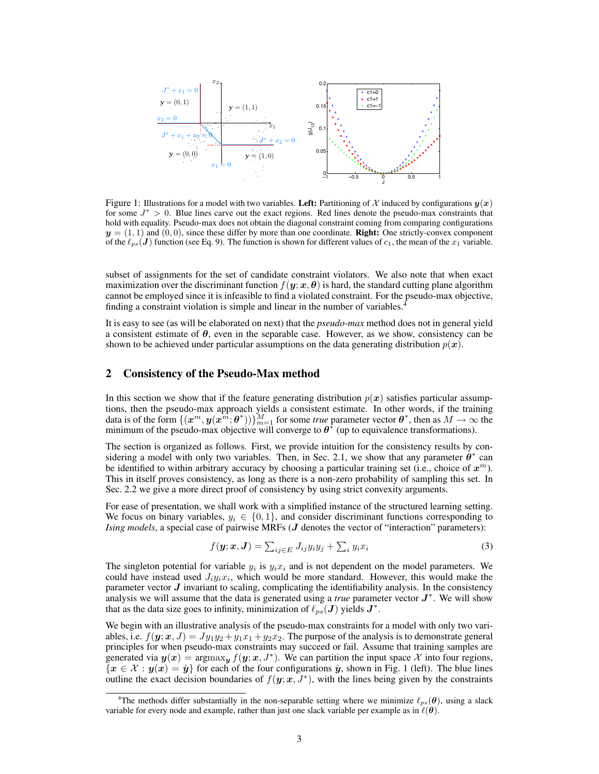

Figure 1: Illustrations for a model with two variables. Left: Partitioning of X induced by configurations  $y(x)$ for some  $J^* > 0$ . Blue lines carve out the exact regions. Red lines denote the pseudo-max constraints that hold with equality. Pseudo-max does not obtain the diagonal constraint coming from comparing configurations  $y = (1, 1)$  and  $(0, 0)$ , since these differ by more than one coordinate. **Right:** One strictly-convex component of the  $\ell_{ps}(J)$  function (see Eq. 9). The function is shown for different values of  $c_1$ , the mean of the  $x_1$  variable.

subset of assignments for the set of candidate constraint violators. We also note that when exact maximization over the discriminant function  $f(y; x, \theta)$  is hard, the standard cutting plane algorithm cannot be employed since it is infeasible to find a violated constraint. For the pseudo-max objective, finding a constraint violation is simple and linear in the number of variables.<sup>4</sup>

It is easy to see (as will be elaborated on next) that the *pseudo-max* method does not in general yield a consistent estimate of  $\theta$ , even in the separable case. However, as we show, consistency can be shown to be achieved under particular assumptions on the data generating distribution  $p(x)$ .

## 2 Consistency of the Pseudo-Max method

In this section we show that if the feature generating distribution  $p(x)$  satisfies particular assumptions, then the pseudo-max approach yields a consistent estimate. In other words, if the training data is of the form  $\{(x^m, y(x^m; \theta^*))\}_{m=1}^M$  for some *true* parameter vector  $\theta^*$ , then as  $M \to \infty$  the minimum of the pseudo-max objective will converge to  $\theta^*$  (up to equivalence transformations).

The section is organized as follows. First, we provide intuition for the consistency results by considering a model with only two variables. Then, in Sec. 2.1, we show that any parameter  $\theta^*$  can be identified to within arbitrary accuracy by choosing a particular training set (i.e., choice of  $x^m$ ). This in itself proves consistency, as long as there is a non-zero probability of sampling this set. In Sec. 2.2 we give a more direct proof of consistency by using strict convexity arguments.

For ease of presentation, we shall work with a simplified instance of the structured learning setting. We focus on binary variables,  $y_i \in \{0, 1\}$ , and consider discriminant functions corresponding to *Ising models*, a special case of pairwise MRFs (*J* denotes the vector of "interaction" parameters):

$$
f(\mathbf{y}; \mathbf{x}, \mathbf{J}) = \sum_{ij \in E} J_{ij} y_i y_j + \sum_i y_i x_i
$$
 (3)

The singleton potential for variable  $y_i$  is  $y_i x_i$  and is not dependent on the model parameters. We could have instead used  $J_i y_i x_i$ , which would be more standard. However, this would make the parameter vector  $J$  invariant to scaling, complicating the identifiability analysis. In the consistency analysis we will assume that the data is generated using a *true* parameter vector  $J^*$ . We will show that as the data size goes to infinity, minimization of  $\ell_{ps}(\boldsymbol{J})$  yields  $\boldsymbol{J}^{*}.$ 

We begin with an illustrative analysis of the pseudo-max constraints for a model with only two variables, i.e.  $f(\mathbf{y}; \mathbf{x}, J) = Jy_1y_2 + y_1x_1 + y_2x_2$ . The purpose of the analysis is to demonstrate general principles for when pseudo-max constraints may succeed or fail. Assume that training samples are generated via  $y(x) = \text{argmax}_y f(y; x, J^*)$ . We can partition the input space X into four regions,  $\{x \in \mathcal{X} : y(x) = \hat{y}\}\$ for each of the four configurations  $\hat{y}$ , shown in Fig. 1 (left). The blue lines outline the exact decision boundaries of  $f(y; x, J^*)$ , with the lines being given by the constraints

<sup>&</sup>lt;sup>4</sup>The methods differ substantially in the non-separable setting where we minimize  $\ell_{ps}(\theta)$ , using a slack variable for every node and example, rather than just one slack variable per example as in  $\ell(\theta)$ .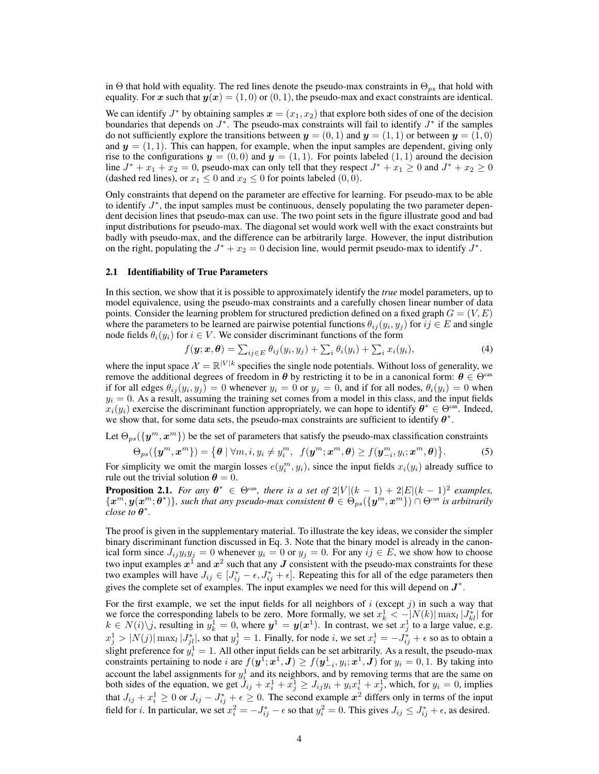in Θ that hold with equality. The red lines denote the pseudo-max constraints in  $\Theta_{ps}$  that hold with equality. For x such that  $y(x) = (1, 0)$  or  $(0, 1)$ , the pseudo-max and exact constraints are identical.

We can identify  $J^*$  by obtaining samples  $\mathbf{x} = (x_1, x_2)$  that explore both sides of one of the decision boundaries that depends on  $J^*$ . The pseudo-max constraints will fail to identify  $J^*$  if the samples do not sufficiently explore the transitions between  $y = (0, 1)$  and  $y = (1, 1)$  or between  $y = (1, 0)$ and  $y = (1, 1)$ . This can happen, for example, when the input samples are dependent, giving only rise to the configurations  $y = (0,0)$  and  $y = (1,1)$ . For points labeled  $(1,1)$  around the decision line  $J^* + x_1 + x_2 = 0$ , pseudo-max can only tell that they respect  $J^* + x_1 \ge 0$  and  $J^* + x_2 \ge 0$ (dashed red lines), or  $x_1 \leq 0$  and  $x_2 \leq 0$  for points labeled  $(0, 0)$ .

Only constraints that depend on the parameter are effective for learning. For pseudo-max to be able to identify  $J^*$ , the input samples must be continuous, densely populating the two parameter dependent decision lines that pseudo-max can use. The two point sets in the figure illustrate good and bad input distributions for pseudo-max. The diagonal set would work well with the exact constraints but badly with pseudo-max, and the difference can be arbitrarily large. However, the input distribution on the right, populating the  $J^* + x_2 = 0$  decision line, would permit pseudo-max to identify  $J^*$ .

#### 2.1 Identifiability of True Parameters

In this section, we show that it is possible to approximately identify the *true* model parameters, up to model equivalence, using the pseudo-max constraints and a carefully chosen linear number of data points. Consider the learning problem for structured prediction defined on a fixed graph  $G = (V, E)$ where the parameters to be learned are pairwise potential functions  $\theta_{ij}(y_i, y_j)$  for  $ij \in E$  and single node fields  $\theta_i(y_i)$  for  $i \in V$ . We consider discriminant functions of the form

$$
f(\mathbf{y}; \mathbf{x}, \boldsymbol{\theta}) = \sum_{ij \in E} \theta_{ij}(y_i, y_j) + \sum_i \theta_i(y_i) + \sum_i x_i(y_i), \tag{4}
$$

where the input space  $\mathcal{X} = \mathbb{R}^{|V|k}$  specifies the single node potentials. Without loss of generality, we remove the additional degrees of freedom in  $\theta$  by restricting it to be in a canonical form:  $\theta \in \Theta^{\text{can}}$ if for all edges  $\theta_{ij}(y_i, y_j) = 0$  whenever  $y_i = 0$  or  $y_j = 0$ , and if for all nodes,  $\theta_i(y_i) = 0$  when  $y_i = 0$ . As a result, assuming the training set comes from a model in this class, and the input fields  $x_i(y_i)$  exercise the discriminant function appropriately, we can hope to identify  $\theta^* \in \Theta^{\text{can}}$ . Indeed, we show that, for some data sets, the pseudo-max constraints are sufficient to identify  $\theta^*$ .

Let  $\Theta_{ps}(\lbrace \mathbf{y}^m, \mathbf{x}^m \rbrace)$  be the set of parameters that satisfy the pseudo-max classification constraints

$$
\Theta_{ps}(\{\boldsymbol{y}^m, \boldsymbol{x}^m\}) = \{\boldsymbol{\theta} \mid \forall m, i, y_i \neq y_i^m, \ f(\boldsymbol{y}^m; \boldsymbol{x}^m, \boldsymbol{\theta}) \geq f(\boldsymbol{y}_{-i}^m, y_i; \boldsymbol{x}^m, \boldsymbol{\theta})\}.
$$
 (5)

For simplicity we omit the margin losses  $e(y_i^m, y_i)$ , since the input fields  $x_i(y_i)$  already suffice to rule out the trivial solution  $\theta = 0$ .

**Proposition 2.1.** *For any*  $\theta^* \in \Theta^{can}$ *, there is a set of*  $2|V|(k-1) + 2|E|(k-1)^2$  *examples,*  ${ \{x^m,y(x^m;\theta^*)\} }$ , such that any pseudo-max consistent  $\theta\in\Theta_{ps}(\{y^m,x^m\})\cap\Theta^{can}$  is arbitrarily *close to*  $\boldsymbol{\theta}^*$ .

The proof is given in the supplementary material. To illustrate the key ideas, we consider the simpler binary discriminant function discussed in Eq. 3. Note that the binary model is already in the canonical form since  $J_{ij}y_iy_j = 0$  whenever  $y_i = 0$  or  $y_j = 0$ . For any  $ij \in E$ , we show how to choose two input examples  $x^1$  and  $x^2$  such that any  $J$  consistent with the pseudo-max constraints for these two examples will have  $J_{ij} \in [J_{ij}^* - \epsilon, J_{ij}^* + \epsilon]$ . Repeating this for all of the edge parameters then gives the complete set of examples. The input examples we need for this will depend on  $J^*$ .

For the first example, we set the input fields for all neighbors of i (except j) in such a way that we force the corresponding labels to be zero. More formally, we set  $x_k^1 < -|N(k)| \max_l |J_{kl}^*|$  for  $k \in N(i) \backslash j$ , resulting in  $y_k^1 = 0$ , where  $y^1 = y(x^1)$ . In contrast, we set  $x_j^1$  to a large value, e.g.  $x_j^1 > |N(j)| \max_l |J_{jl}^*|$ , so that  $y_j^1 = 1$ . Finally, for node i, we set  $x_i^1 = -J_{ij}^* + \epsilon$  so as to obtain a slight preference for  $y_i^1 = 1$ . All other input fields can be set arbitrarily. As a result, the pseudo-max constraints pertaining to node i are  $f(\bm{y}^1; \bm{x}^1, \bm{J}) \ge f(\bm{y}^1_{-i}, y_i; \bm{x}^1, \bm{J})$  for  $y_i = 0, 1$ . By taking into account the label assignments for  $y_i^1$  and its neighbors, and by removing terms that are the same on both sides of the equation, we get  $J_{ij} + x_i^1 + x_j^1 \geq J_{ij}y_i + y_ix_i^1 + x_j^1$ , which, for  $y_i = 0$ , implies that  $J_{ij} + x_i^1 \ge 0$  or  $J_{ij} - J_{ij}^* + \epsilon \ge 0$ . The second example  $x^2$  differs only in terms of the input field for *i*. In particular, we set  $x_i^2 = -J_{ij}^* - \epsilon$  so that  $y_i^2 = 0$ . This gives  $J_{ij} \leq J_{ij}^* + \epsilon$ , as desired.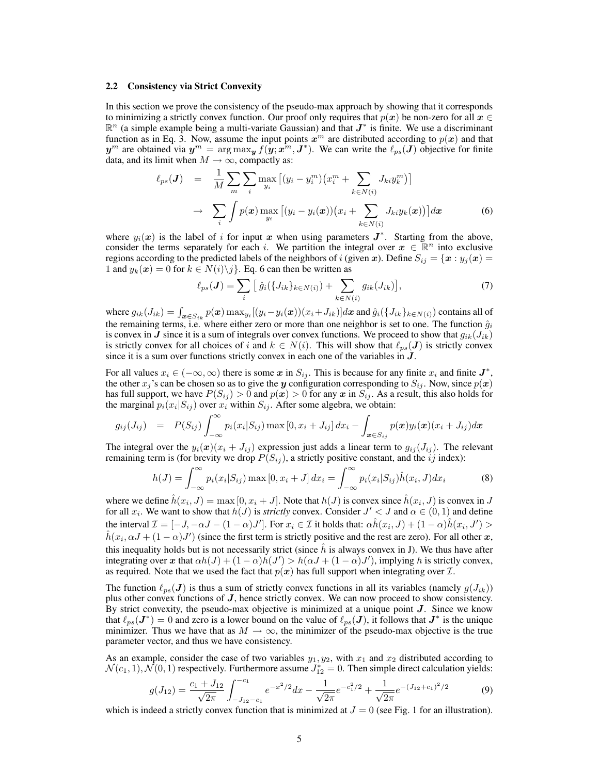#### 2.2 Consistency via Strict Convexity

In this section we prove the consistency of the pseudo-max approach by showing that it corresponds to minimizing a strictly convex function. Our proof only requires that  $p(x)$  be non-zero for all  $x \in$  $\mathbb{R}^n$  (a simple example being a multi-variate Gaussian) and that  $J^*$  is finite. We use a discriminant function as in Eq. 3. Now, assume the input points  $x^m$  are distributed according to  $p(x)$  and that  $y^m$  are obtained via  $y^m = \arg \max_y f(y; x^m, J^*)$ . We can write the  $\ell_{ps}(J)$  objective for finite data, and its limit when  $M \to \infty$ , compactly as:

$$
\ell_{ps}(\boldsymbol{J}) = \frac{1}{M} \sum_{m} \sum_{i} \max_{y_i} \left[ (y_i - y_i^m) \left( x_i^m + \sum_{k \in N(i)} J_{ki} y_k^m \right) \right] \newline \rightarrow \sum_{i} \int p(\boldsymbol{x}) \max_{y_i} \left[ (y_i - y_i(\boldsymbol{x})) \left( x_i + \sum_{k \in N(i)} J_{ki} y_k(\boldsymbol{x}) \right) \right] d\boldsymbol{x} \tag{6}
$$

where  $y_i(x)$  is the label of i for input x when using parameters  $J^*$ . Starting from the above, consider the terms separately for each i. We partition the integral over  $x \in \mathbb{R}^n$  into exclusive regions according to the predicted labels of the neighbors of i (given x). Define  $S_{ij} = \{x : y_j(x) =$ 1 and  $y_k(x) = 0$  for  $k \in N(i) \backslash j$ . Eq. 6 can then be written as

$$
\ell_{ps}(J) = \sum_{i} \left[ \hat{g}_i(\{J_{ik}\}_{k \in N(i)}) + \sum_{k \in N(i)} g_{ik}(J_{ik}) \right],\tag{7}
$$

where  $g_{ik}(J_{ik}) = \int_{\boldsymbol{x} \in S_{ik}} p(\boldsymbol{x}) \max_{y_i} [(y_i - y_i(\boldsymbol{x}))(x_i + J_{ik})] d\boldsymbol{x}$  and  $\hat{g}_i(\{J_{ik}\}_{k \in N(i)})$  contains all of the remaining terms, i.e. where either zero or more than one neighbor is set to one. The function  $\hat{g}_i$ is convex in J since it is a sum of integrals over convex functions. We proceed to show that  $g_{ik}(J_{ik})$ is strictly convex for all choices of i and  $k \in N(i)$ . This will show that  $\ell_{ps}(J)$  is strictly convex since it is a sum over functions strictly convex in each one of the variables in  $J$ .

For all values  $x_i \in (-\infty, \infty)$  there is some  $x$  in  $S_{ij}$ . This is because for any finite  $x_i$  and finite  $J^*$ , the other  $x_j$ 's can be chosen so as to give the y configuration corresponding to  $S_{ij}$ . Now, since  $p(x)$ has full support, we have  $P(S_{ij}) > 0$  and  $p(x) > 0$  for any  $x$  in  $S_{ij}$ . As a result, this also holds for the marginal  $p_i(x_i|S_{ij})$  over  $x_i$  within  $S_{ij}$ . After some algebra, we obtain:

$$
g_{ij}(J_{ij}) = P(S_{ij}) \int_{-\infty}^{\infty} p_i(x_i|S_{ij}) \max[0, x_i + J_{ij}] dx_i - \int_{\boldsymbol{x} \in S_{ij}} p(\boldsymbol{x}) y_i(\boldsymbol{x}) (x_i + J_{ij}) d\boldsymbol{x}
$$

The integral over the  $y_i(x)(x_i + J_{ij})$  expression just adds a linear term to  $g_{ij}(J_{ij})$ . The relevant remaining term is (for brevity we drop  $P(S_{ij})$ , a strictly positive constant, and the ij index):

$$
h(J) = \int_{-\infty}^{\infty} p_i(x_i|S_{ij}) \max\left[0, x_i + J\right] dx_i = \int_{-\infty}^{\infty} p_i(x_i|S_{ij}) \hat{h}(x_i, J) dx_i \tag{8}
$$

where we define  $\hat{h}(x_i, J) = \max[0, x_i + J]$ . Note that  $h(J)$  is convex since  $\hat{h}(x_i, J)$  is convex in J for all  $x_i$ . We want to show that  $h(J)$  is *strictly* convex. Consider  $J' < J$  and  $\alpha \in (0,1)$  and define the interval  $\mathcal{I} = [-J, -\alpha J - (1 - \alpha)J']$ . For  $x_i \in \mathcal{I}$  it holds that:  $\alpha \hat{h}(x_i, J) + (1 - \alpha) \hat{h}(x_i, J') >$  $\hat{h}(x_i, \alpha J + (1 - \alpha)J')$  (since the first term is strictly positive and the rest are zero). For all other x, this inequality holds but is not necessarily strict (since  $\hat{h}$  is always convex in J). We thus have after integrating over x that  $\alpha h(J) + (1 - \alpha)h(J') > h(\alpha J + (1 - \alpha)J')$ , implying h is strictly convex, as required. Note that we used the fact that  $p(x)$  has full support when integrating over  $\mathcal{I}$ .

The function  $\ell_{ps}(J)$  is thus a sum of strictly convex functions in all its variables (namely  $g(J_{ik})$ ) plus other convex functions of  $J$ , hence strictly convex. We can now proceed to show consistency. By strict convexity, the pseudo-max objective is minimized at a unique point  $J$ . Since we know that  $\ell_{ps}(J^*) = 0$  and zero is a lower bound on the value of  $\ell_{ps}(J)$ , it follows that  $J^*$  is the unique minimizer. Thus we have that as  $M \to \infty$ , the minimizer of the pseudo-max objective is the true parameter vector, and thus we have consistency.

As an example, consider the case of two variables  $y_1, y_2$ , with  $x_1$  and  $x_2$  distributed according to  $\mathcal{N}(c_1, 1), \mathcal{N}(0, 1)$  respectively. Furthermore assume  $J_{12}^* = 0$ . Then simple direct calculation yields:

$$
g(J_{12}) = \frac{c_1 + J_{12}}{\sqrt{2\pi}} \int_{-J_{12}-c_1}^{-c_1} e^{-x^2/2} dx - \frac{1}{\sqrt{2\pi}} e^{-c_1^2/2} + \frac{1}{\sqrt{2\pi}} e^{-(J_{12}+c_1)^2/2}
$$
(9)

which is indeed a strictly convex function that is minimized at  $J = 0$  (see Fig. 1 for an illustration).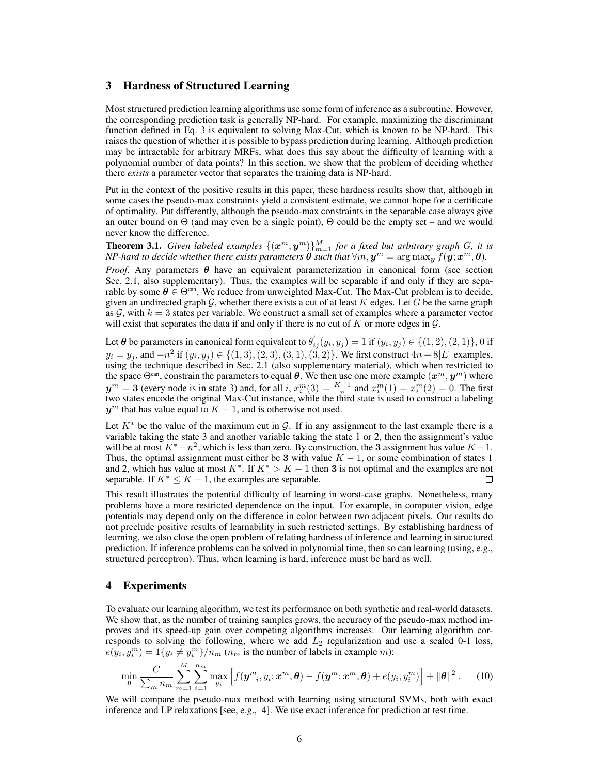## 3 Hardness of Structured Learning

Most structured prediction learning algorithms use some form of inference as a subroutine. However, the corresponding prediction task is generally NP-hard. For example, maximizing the discriminant function defined in Eq. 3 is equivalent to solving Max-Cut, which is known to be NP-hard. This raises the question of whether it is possible to bypass prediction during learning. Although prediction may be intractable for arbitrary MRFs, what does this say about the difficulty of learning with a polynomial number of data points? In this section, we show that the problem of deciding whether there *exists* a parameter vector that separates the training data is NP-hard.

Put in the context of the positive results in this paper, these hardness results show that, although in some cases the pseudo-max constraints yield a consistent estimate, we cannot hope for a certificate of optimality. Put differently, although the pseudo-max constraints in the separable case always give an outer bound on  $\Theta$  (and may even be a single point),  $\Theta$  could be the empty set – and we would never know the difference.

**Theorem 3.1.** *Given labeled examples*  $\{(\boldsymbol{x}^m, \boldsymbol{y}^m)\}_{m=1}^M$  *for a fixed but arbitrary graph G*, *it is NP-hard to decide whether there exists parameters*  $\hat{\bm{\theta}}$  *such that*  $\forall m, \bm{y}^m = \argmax_{\bm{y}} f(\bm{y};\bm{x}^m,\bm{\theta}).$ 

*Proof.* Any parameters  $\theta$  have an equivalent parameterization in canonical form (see section Sec. 2.1, also supplementary). Thus, the examples will be separable if and only if they are separable by some  $\theta \in \Theta^{\text{can}}$ . We reduce from unweighted Max-Cut. The Max-Cut problem is to decide, given an undirected graph  $G$ , whether there exists a cut of at least K edges. Let G be the same graph as  $G$ , with  $k = 3$  states per variable. We construct a small set of examples where a parameter vector will exist that separates the data if and only if there is no cut of  $K$  or more edges in  $\mathcal{G}$ .

Let  $\theta$  be parameters in canonical form equivalent to  $\theta'_{ij}(y_i, y_j) = 1$  if  $(y_i, y_j) \in \{(1, 2), (2, 1)\}, 0$  if  $y_i = y_j$ , and  $-n^2$  if  $(y_i, y_j) \in \{(1, 3), (2, 3), (3, 1), (3, 2)\}$ . We first construct  $4n + 8|E|$  examples, using the technique described in Sec. 2.1 (also supplementary material), which when restricted to the space  $\Theta^{\text{can}}$ , constrain the parameters to equal  $\theta$ . We then use one more example  $(x^m, y^m)$  where  $y^m = 3$  (every node is in state 3) and, for all i,  $x_i^m(3) = \frac{K-1}{n}$  and  $x_i^m(1) = x_i^m(2) = 0$ . The first two states encode the original Max-Cut instance, while the third state is used to construct a labeling  $y^m$  that has value equal to  $K - 1$ , and is otherwise not used.

Let  $K^*$  be the value of the maximum cut in G. If in any assignment to the last example there is a variable taking the state 3 and another variable taking the state 1 or 2, then the assignment's value will be at most  $K^* - n^2$ , which is less than zero. By construction, the 3 assignment has value  $K - 1$ . Thus, the optimal assignment must either be 3 with value  $K - 1$ , or some combination of states 1 and 2, which has value at most  $K^*$ . If  $K^* > K - 1$  then 3 is not optimal and the examples are not separable. If  $K^* \leq K - 1$ , the examples are separable. П

This result illustrates the potential difficulty of learning in worst-case graphs. Nonetheless, many problems have a more restricted dependence on the input. For example, in computer vision, edge potentials may depend only on the difference in color between two adjacent pixels. Our results do not preclude positive results of learnability in such restricted settings. By establishing hardness of learning, we also close the open problem of relating hardness of inference and learning in structured prediction. If inference problems can be solved in polynomial time, then so can learning (using, e.g., structured perceptron). Thus, when learning is hard, inference must be hard as well.

## 4 Experiments

To evaluate our learning algorithm, we test its performance on both synthetic and real-world datasets. We show that, as the number of training samples grows, the accuracy of the pseudo-max method improves and its speed-up gain over competing algorithms increases. Our learning algorithm corresponds to solving the following, where we add  $L_2$  regularization and use a scaled 0-1 loss,  $e(y_i, y_i^m) = 1\{y_i \neq y_i^m\}/n_m$  ( $n_m$  is the number of labels in example m):

$$
\min_{\boldsymbol{\theta}} \frac{C}{\sum_{m} n_m} \sum_{m=1}^{M} \sum_{i=1}^{n_m} \max_{y_i} \left[ f(\boldsymbol{y}_{-i}^m, y_i; \boldsymbol{x}^m, \boldsymbol{\theta}) - f(\boldsymbol{y}^m; \boldsymbol{x}^m, \boldsymbol{\theta}) + e(y_i, y_i^m) \right] + ||\boldsymbol{\theta}||^2. \tag{10}
$$

We will compare the pseudo-max method with learning using structural SVMs, both with exact inference and LP relaxations [see, e.g., 4]. We use exact inference for prediction at test time.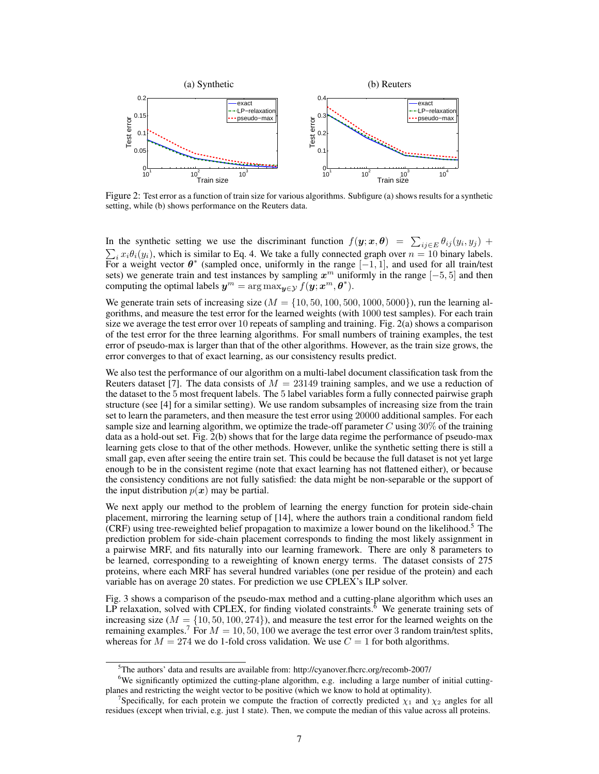

Figure 2: Test error as a function of train size for various algorithms. Subfigure (a) shows results for a synthetic setting, while (b) shows performance on the Reuters data.

In the synthetic setting we use the discriminant function  $f(\mathbf{y}; \mathbf{x}, \boldsymbol{\theta}) = \sum_{ij \in E} \theta_{ij}(y_i, y_j) + \sum_{i=1}^{n} \theta_{ij}(y_i, y_j)$  $\sum_i x_i \theta_i(y_i)$ , which is similar to Eq. 4. We take a fully connected graph over  $n = 10$  binary labels. For a weight vector  $\theta^*$  (sampled once, uniformly in the range  $[-1, 1]$ , and used for all train/test sets) we generate train and test instances by sampling  $x^m$  uniformly in the range  $[-5, 5]$  and then computing the optimal labels  $y^m = \arg \max_{y \in \mathcal{Y}} f(y; x^m, \theta^*)$ .

We generate train sets of increasing size ( $M = \{10, 50, 100, 500, 1000, 5000\}$ ), run the learning algorithms, and measure the test error for the learned weights (with 1000 test samples). For each train size we average the test error over 10 repeats of sampling and training. Fig. 2(a) shows a comparison of the test error for the three learning algorithms. For small numbers of training examples, the test error of pseudo-max is larger than that of the other algorithms. However, as the train size grows, the error converges to that of exact learning, as our consistency results predict.

We also test the performance of our algorithm on a multi-label document classification task from the Reuters dataset [7]. The data consists of  $M = 23149$  training samples, and we use a reduction of the dataset to the 5 most frequent labels. The 5 label variables form a fully connected pairwise graph structure (see [4] for a similar setting). We use random subsamples of increasing size from the train set to learn the parameters, and then measure the test error using 20000 additional samples. For each sample size and learning algorithm, we optimize the trade-off parameter  $C$  using 30% of the training data as a hold-out set. Fig. 2(b) shows that for the large data regime the performance of pseudo-max learning gets close to that of the other methods. However, unlike the synthetic setting there is still a small gap, even after seeing the entire train set. This could be because the full dataset is not yet large enough to be in the consistent regime (note that exact learning has not flattened either), or because the consistency conditions are not fully satisfied: the data might be non-separable or the support of the input distribution  $p(x)$  may be partial.

We next apply our method to the problem of learning the energy function for protein side-chain placement, mirroring the learning setup of [14], where the authors train a conditional random field (CRF) using tree-reweighted belief propagation to maximize a lower bound on the likelihood.<sup>5</sup> The prediction problem for side-chain placement corresponds to finding the most likely assignment in a pairwise MRF, and fits naturally into our learning framework. There are only 8 parameters to be learned, corresponding to a reweighting of known energy terms. The dataset consists of 275 proteins, where each MRF has several hundred variables (one per residue of the protein) and each variable has on average 20 states. For prediction we use CPLEX's ILP solver.

Fig. 3 shows a comparison of the pseudo-max method and a cutting-plane algorithm which uses an LP relaxation, solved with CPLEX, for finding violated constraints.<sup>6</sup> We generate training sets of increasing size  $(M = \{10, 50, 100, 274\})$ , and measure the test error for the learned weights on the remaining examples.<sup>7</sup> For  $M = 10, 50, 100$  we average the test error over 3 random train/test splits, whereas for  $M = 274$  we do 1-fold cross validation. We use  $C = 1$  for both algorithms.

<sup>5</sup>The authors' data and results are available from: http://cyanover.fhcrc.org/recomb-2007/

<sup>&</sup>lt;sup>6</sup>We significantly optimized the cutting-plane algorithm, e.g. including a large number of initial cuttingplanes and restricting the weight vector to be positive (which we know to hold at optimality).

<sup>&</sup>lt;sup>7</sup>Specifically, for each protein we compute the fraction of correctly predicted  $\chi_1$  and  $\chi_2$  angles for all residues (except when trivial, e.g. just 1 state). Then, we compute the median of this value across all proteins.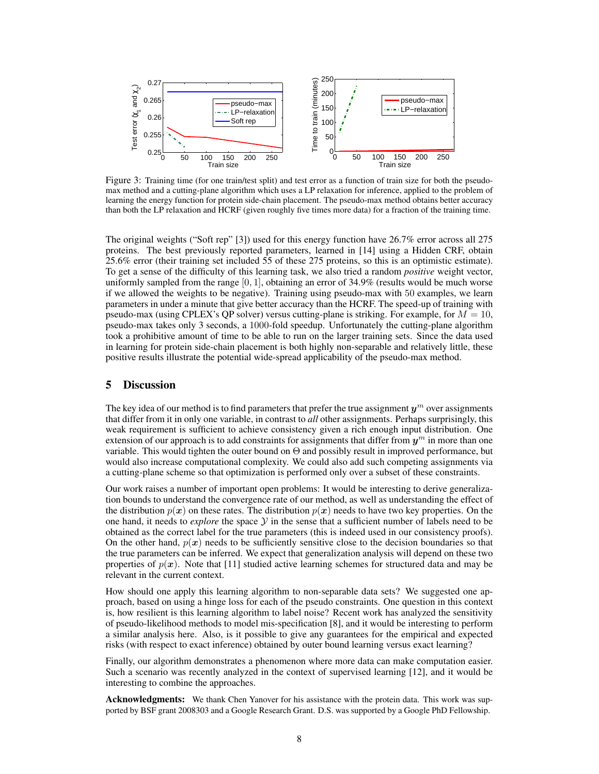

Figure 3: Training time (for one train/test split) and test error as a function of train size for both the pseudomax method and a cutting-plane algorithm which uses a LP relaxation for inference, applied to the problem of learning the energy function for protein side-chain placement. The pseudo-max method obtains better accuracy than both the LP relaxation and HCRF (given roughly five times more data) for a fraction of the training time.

The original weights ("Soft rep" [3]) used for this energy function have 26.7% error across all 275 proteins. The best previously reported parameters, learned in [14] using a Hidden CRF, obtain 25.6% error (their training set included 55 of these 275 proteins, so this is an optimistic estimate). To get a sense of the difficulty of this learning task, we also tried a random *positive* weight vector, uniformly sampled from the range  $[0, 1]$ , obtaining an error of 34.9% (results would be much worse if we allowed the weights to be negative). Training using pseudo-max with 50 examples, we learn parameters in under a minute that give better accuracy than the HCRF. The speed-up of training with pseudo-max (using CPLEX's OP solver) versus cutting-plane is striking. For example, for  $M = 10$ , pseudo-max takes only 3 seconds, a 1000-fold speedup. Unfortunately the cutting-plane algorithm took a prohibitive amount of time to be able to run on the larger training sets. Since the data used in learning for protein side-chain placement is both highly non-separable and relatively little, these positive results illustrate the potential wide-spread applicability of the pseudo-max method.

## 5 Discussion

The key idea of our method is to find parameters that prefer the true assignment  $y^m$  over assignments that differ from it in only one variable, in contrast to *all* other assignments. Perhaps surprisingly, this weak requirement is sufficient to achieve consistency given a rich enough input distribution. One extension of our approach is to add constraints for assignments that differ from  $y^m$  in more than one variable. This would tighten the outer bound on  $\Theta$  and possibly result in improved performance, but would also increase computational complexity. We could also add such competing assignments via a cutting-plane scheme so that optimization is performed only over a subset of these constraints.

Our work raises a number of important open problems: It would be interesting to derive generalization bounds to understand the convergence rate of our method, as well as understanding the effect of the distribution  $p(x)$  on these rates. The distribution  $p(x)$  needs to have two key properties. On the one hand, it needs to *explore* the space  $Y$  in the sense that a sufficient number of labels need to be obtained as the correct label for the true parameters (this is indeed used in our consistency proofs). On the other hand,  $p(x)$  needs to be sufficiently sensitive close to the decision boundaries so that the true parameters can be inferred. We expect that generalization analysis will depend on these two properties of  $p(x)$ . Note that [11] studied active learning schemes for structured data and may be relevant in the current context.

How should one apply this learning algorithm to non-separable data sets? We suggested one approach, based on using a hinge loss for each of the pseudo constraints. One question in this context is, how resilient is this learning algorithm to label noise? Recent work has analyzed the sensitivity of pseudo-likelihood methods to model mis-specification [8], and it would be interesting to perform a similar analysis here. Also, is it possible to give any guarantees for the empirical and expected risks (with respect to exact inference) obtained by outer bound learning versus exact learning?

Finally, our algorithm demonstrates a phenomenon where more data can make computation easier. Such a scenario was recently analyzed in the context of supervised learning [12], and it would be interesting to combine the approaches.

Acknowledgments: We thank Chen Yanover for his assistance with the protein data. This work was supported by BSF grant 2008303 and a Google Research Grant. D.S. was supported by a Google PhD Fellowship.